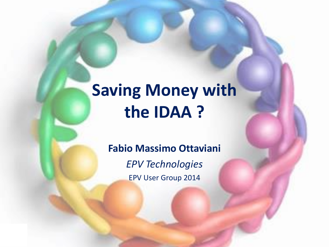## **Saving Money with the IDAA ?**

#### **Fabio Massimo Ottaviani**

*EPV Technologies* EPV User Group 2014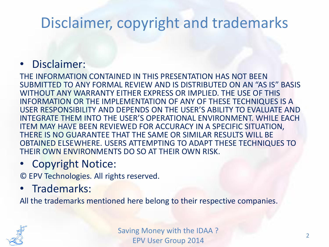### Disclaimer, copyright and trademarks

#### • Disclaimer:

THE INFORMATION CONTAINED IN THIS PRESENTATION HAS NOT BEEN SUBMITTED TO ANY FORMAL REVIEW AND IS DISTRIBUTED ON AN "AS IS" BASIS WITHOUT ANY WARRANTY EITHER EXPRESS OR IMPLIED. THE USE OF THIS INFORMATION OR THE IMPLEMENTATION OF ANY OF THESE TECHNIQUES IS A USER RESPONSIBILITY AND DEPENDS ON THE USER'S ABILITY TO EVALUATE AND INTEGRATE THEM INTO THE USER'S OPERATIONAL ENVIRONMENT. WHILE EACH ITEM MAY HAVE BEEN REVIEWED FOR ACCURACY IN A SPECIFIC SITUATION, THERE IS NO GUARANTEE THAT THE SAME OR SIMILAR RESULTS WILL BE OBTAINED ELSEWHERE. USERS ATTEMPTING TO ADAPT THESE TECHNIQUES TO THEIR OWN ENVIRONMENTS DO SO AT THEIR OWN RISK.

#### • Copyright Notice:

© EPV Technologies. All rights reserved.

#### • Trademarks:

All the trademarks mentioned here belong to their respective companies.

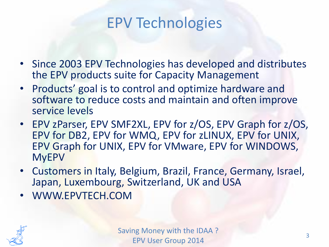#### EPV Technologies

- Since 2003 EPV Technologies has developed and distributes the EPV products suite for Capacity Management
- Products' goal is to control and optimize hardware and software to reduce costs and maintain and often improve service levels
- EPV zParser, EPV SMF2XL, EPV for z/OS, EPV Graph for z/OS, EPV for DB2, EPV for WMQ, EPV for zLINUX, EPV for UNIX, EPV Graph for UNIX, EPV for VMware, EPV for WINDOWS, MyEPV
- Customers in Italy, Belgium, Brazil, France, Germany, Israel, Japan, Luxembourg, Switzerland, UK and USA
- WWW.EPVTECH.COM

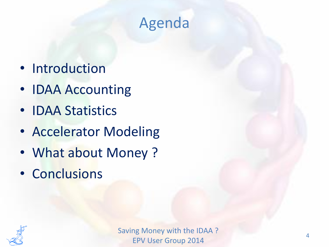## Agenda

- Introduction
- IDAA Accounting
- IDAA Statistics
- Accelerator Modeling
- What about Money ?
- Conclusions

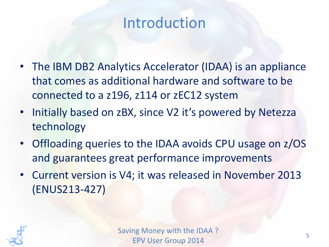- The IBM DB2 Analytics Accelerator (IDAA) is an appliance that comes as additional hardware and software to be connected to a z196, z114 or zEC12 system
- Initially based on zBX, since V2 it's powered by Netezza technology
- Offloading queries to the IDAA avoids CPU usage on z/OS and guarantees great performance improvements
- Current version is V4; it was released in November 2013 (ENUS213-427)

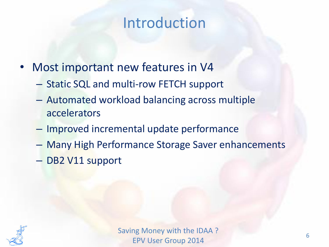- Most important new features in V4
	- Static SQL and multi-row FETCH support
	- Automated workload balancing across multiple accelerators
	- Improved incremental update performance
	- Many High Performance Storage Saver enhancements
	- DB2 V11 support

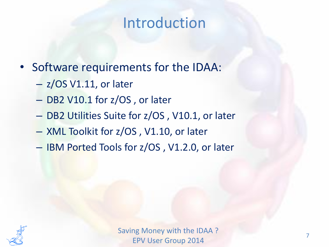- Software requirements for the IDAA:
	- z/OS V1.11, or later
	- DB2 V10.1 for z/OS , or later
	- DB2 Utilities Suite for z/OS , V10.1, or later
	- XML Toolkit for z/OS , V1.10, or later
	- IBM Ported Tools for z/OS , V1.2.0, or later

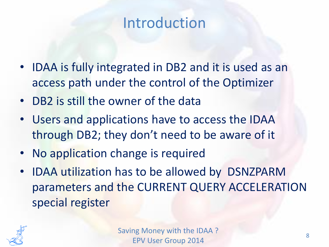- IDAA is fully integrated in DB2 and it is used as an access path under the control of the Optimizer
- DB2 is still the owner of the data
- Users and applications have to access the IDAA through DB2; they don't need to be aware of it
- No application change is required
- IDAA utilization has to be allowed by DSNZPARM parameters and the CURRENT QUERY ACCELERATION special register

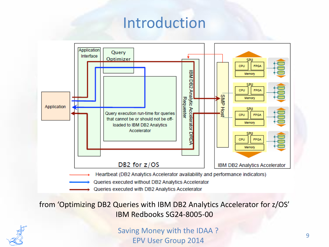

from 'Optimizing DB2 Queries with IBM DB2 Analytics Accelerator for z/OS' IBM Redbooks SG24-8005-00

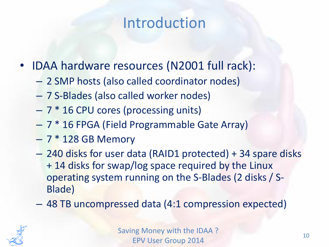- IDAA hardware resources (N2001 full rack):
	- 2 SMP hosts (also called coordinator nodes)
	- 7 S-Blades (also called worker nodes)
	- $-7 * 16$  CPU cores (processing units)
	- 7 \* 16 FPGA (Field Programmable Gate Array)
	- $-7*128$  GB Memory
	- 240 disks for user data (RAID1 protected) + 34 spare disks + 14 disks for swap/log space required by the Linux operating system running on the S-Blades (2 disks / S-Blade)
	- 48 TB uncompressed data (4:1 compression expected)

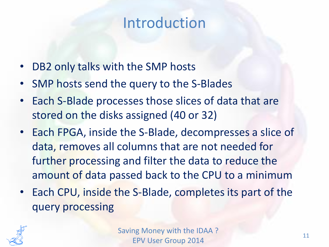- DB2 only talks with the SMP hosts
- SMP hosts send the query to the S-Blades
- Each S-Blade processes those slices of data that are stored on the disks assigned (40 or 32)
- Each FPGA, inside the S-Blade, decompresses a slice of data, removes all columns that are not needed for further processing and filter the data to reduce the amount of data passed back to the CPU to a minimum
- Each CPU, inside the S-Blade, completes its part of the query processing

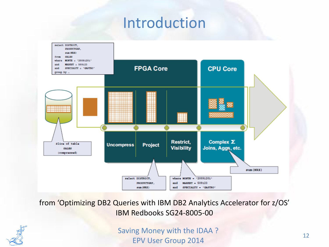

from 'Optimizing DB2 Queries with IBM DB2 Analytics Accelerator for z/OS' IBM Redbooks SG24-8005-00

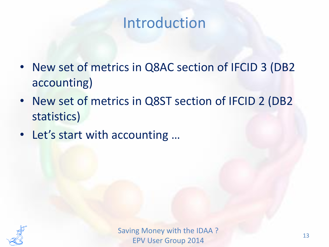- New set of metrics in Q8AC section of IFCID 3 (DB2 accounting)
- New set of metrics in Q8ST section of IFCID 2 (DB2 statistics)
- Let's start with accounting …

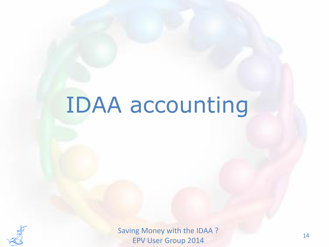# IDAA accounting

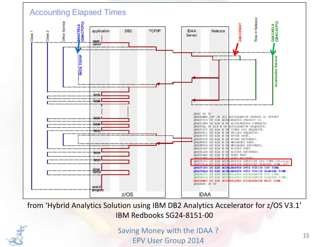

from 'Hybrid Analytics Solution using IBM DB2 Analytics Accelerator for z/OS V3.1' IBM Redbooks SG24-8151-00

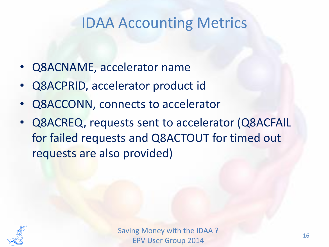- Q8ACNAME, accelerator name
- Q8ACPRID, accelerator product id
- Q8ACCONN, connects to accelerator
- Q8ACREQ, requests sent to accelerator (Q8ACFAIL for failed requests and Q8ACTOUT for timed out requests are also provided)

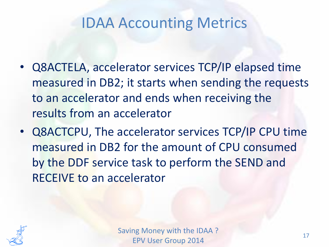- Q8ACTELA, accelerator services TCP/IP elapsed time measured in DB2; it starts when sending the requests to an accelerator and ends when receiving the results from an accelerator
- Q8ACTCPU, The accelerator services TCP/IP CPU time measured in DB2 for the amount of CPU consumed by the DDF service task to perform the SEND and RECEIVE to an accelerator

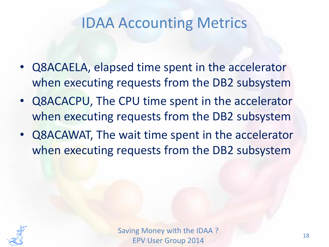- Q8ACAELA, elapsed time spent in the accelerator when executing requests from the DB2 subsystem
- Q8ACACPU, The CPU time spent in the accelerator when executing requests from the DB2 subsystem
- Q8ACAWAT, The wait time spent in the accelerator when executing requests from the DB2 subsystem

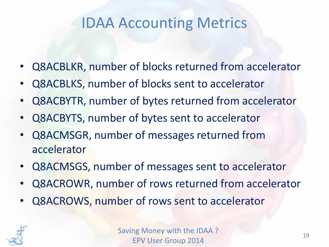- Q8ACBLKR, number of blocks returned from accelerator
- Q8ACBLKS, number of blocks sent to accelerator
- Q8ACBYTR, number of bytes returned from accelerator
- Q8ACBYTS, number of bytes sent to accelerator
- Q8ACMSGR, number of messages returned from accelerator
- Q8ACMSGS, number of messages sent to accelerator
- Q8ACROWR, number of rows returned from accelerator
- Q8ACROWS, number of rows sent to accelerator

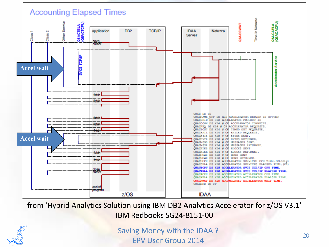

from 'Hybrid Analytics Solution using IBM DB2 Analytics Accelerator for z/OS V3.1' IBM Redbooks SG24-8151-00

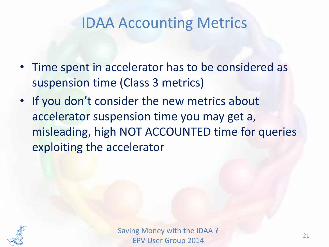- Time spent in accelerator has to be considered as suspension time (Class 3 metrics)
- If you don't consider the new metrics about accelerator suspension time you may get a, misleading, high NOT ACCOUNTED time for queries exploiting the accelerator

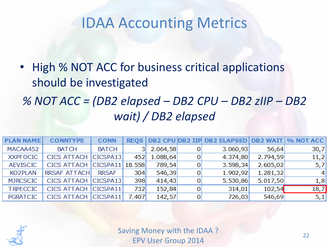• High % NOT ACC for business critical applications should be investigated *% NOT ACC = (DB2 elapsed – DB2 CPU – DB2 zIIP – DB2 wait) / DB2 elapsed*

| <b>PLAN NAME</b> | <b>CONNTYPE</b>             | <b>CONN</b>  |       |          |                | REQS   DB2 CPU DB2 IIP DB2 ELAPSED   DB2 WAIT   % NOT ACC |          |         |
|------------------|-----------------------------|--------------|-------|----------|----------------|-----------------------------------------------------------|----------|---------|
| MACAA452         | <b>BATCH</b>                | <b>BATCH</b> |       | 2.064,58 |                | 3.060,93                                                  | 56,64    | 30,7    |
| <b>XXPFOCIC</b>  | CICS ATTACH CICSPA13        |              | 452   | 1.088,64 | 0              | 4.374,80                                                  | 2.794,59 | 11,2    |
| <b>AEVISCIC</b>  | CICS ATTACH CICSPA11 18.558 |              |       | 789,54   |                | 3.598,34                                                  | 2.605,02 | 5,7     |
| <b>KO2PLAN</b>   | <b>RRSAF ATTACH</b>         | <b>RRSAF</b> | 304   | 546,39   |                | 1.902,92                                                  | 1.281,32 | $\vert$ |
| <b>MJRCSCIC</b>  | CICS ATTACH CICSPA13        |              | 398   | 414,43   |                | 5.530,86                                                  | 5.017,50 | 1,8     |
| <b>TRPECCIC</b>  | CICS ATTACH CICSPA11        |              | 732   | 152,84   | 0              | 314,01                                                    | 102,54   | 18,7    |
| <b>PGRATCIC</b>  | CICS ATTACH CICSPA11        |              | 7.407 | 142,57   | $\overline{0}$ | 726,03                                                    | 546,69   | [5, 1]  |

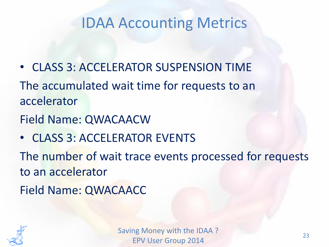• CLASS 3: ACCELERATOR SUSPENSION TIME The accumulated wait time for requests to an accelerator

Field Name: QWACAACW

• CLASS 3: ACCELERATOR EVENTS

The number of wait trace events processed for requests to an accelerator

Field Name: QWACAACC

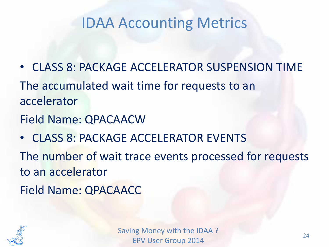- CLASS 8: PACKAGE ACCELERATOR SUSPENSION TIME The accumulated wait time for requests to an accelerator
- Field Name: QPACAACW
- CLASS 8: PACKAGE ACCELERATOR EVENTS

The number of wait trace events processed for requests to an accelerator

Field Name: QPACAACC

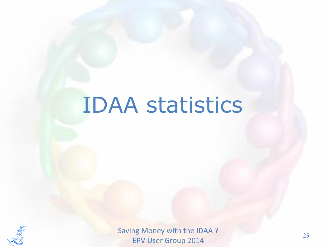# IDAA statistics

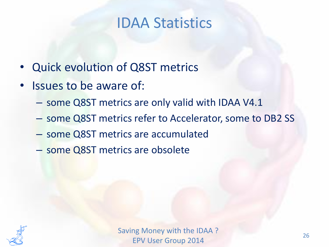#### IDAA Statistics

- Quick evolution of Q8ST metrics
- Issues to be aware of:
	- some Q8ST metrics are only valid with IDAA V4.1
	- some Q8ST metrics refer to Accelerator, some to DB2 SS
	- some Q8ST metrics are accumulated
	- some Q8ST metrics are obsolete

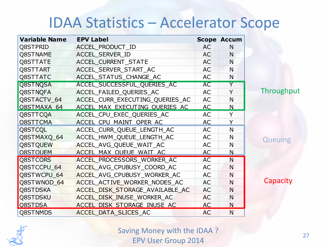#### IDAA Statistics – Accelerator Scope

| <b>Variable Name</b> | <b>EPV Label</b>                |           | <b>Scope Accum</b> |
|----------------------|---------------------------------|-----------|--------------------|
| Q8STPRID             | ACCEL PRODUCT ID                | AC        | N                  |
| <b>Q8STNAME</b>      | <b>ACCEL SERVER ID</b>          | <b>AC</b> | N                  |
| Q8STTATE             | <b>ACCEL CURRENT STATE</b>      | <b>AC</b> | N                  |
| Q8STTART             | ACCEL SERVER START AC           | AC        | N                  |
| Q8STTATC             | ACCEL_STATUS_CHANGE_AC          | AC        | N                  |
| <b>Q8STNQSA</b>      | ACCEL SUCCESSFUL QUERIES AC     | <b>AC</b> | Y                  |
| Q8STNQFA             | ACCEL FAILED QUERIES AC         | AC        | Y                  |
| Q8STACTV_64          | ACCEL CURR EXECUTING QUERIES AC | <b>AC</b> | N                  |
| O8STMAXA 64          | ACCEL MAX EXECUTING OUERIES AC  | AC        | N                  |
| Q8STTCQA             | ACCEL_CPU_EXEC_QUERIES_AC       | AC        | Y                  |
| <b>O8STTCMA</b>      | ACCEL CPU MAINT OPER AC         | AC        | Y                  |
| Q8STCQL              | ACCEL_CURR_QUEUE_LENGTH_AC      | AC        | N                  |
| Q8STMAXQ 64          | ACCEL_HWM_QUEUE_LENGTH_AC       | AC        | $\mathsf{N}$       |
| Q8STQUEW             | ACCEL_AVG_QUEUE_WAIT_AC         | AC        | N                  |
| <b>O8STOUEM</b>      | ACCEL MAX OUEUE WAIT AC         | AC        | N                  |
| Q8STCORS             | ACCEL PROCESSORS WORKER AC      | <b>AC</b> | N                  |
| Q8STCCPU 64          | ACCEL AVG CPUBUSY COORD AC      | AC        | N                  |
| Q8STWCPU_64          | ACCEL AVG CPUBUSY WORKER AC     | AC        | N                  |
| Q8STWNOD_64          | ACCEL ACTIVE WORKER NODES AC    | AC        | N                  |
| <b>Q8STDSKA</b>      | ACCEL DISK STORAGE AVAILABLE AC | <b>AC</b> | N                  |
| <b>Q8STDSKU</b>      | ACCEL DISK INUSE WORKER AC      | <b>AC</b> | N                  |
| Q8STDSA              | ACCEL DISK STORAGE INUSE AC     | <b>AC</b> | N                  |
| Q8STNMDS             | ACCEL DATA SLICES AC            | <b>AC</b> | $\mathsf{N}$       |

Throughput

#### **Queuing**

**Capacity** 

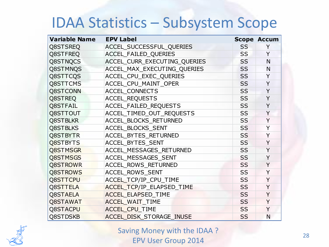#### IDAA Statistics – Subsystem Scope

| <b>Variable Name</b> | <b>EPV Label</b>             |           | <b>Scope Accum</b> |
|----------------------|------------------------------|-----------|--------------------|
| Q8STSREQ             | ACCEL_SUCCESSFUL_QUERIES     | <b>SS</b> | Y                  |
| Q8STFREQ             | <b>ACCEL FAILED QUERIES</b>  | <b>SS</b> | Y                  |
| Q8STNQCS             | ACCEL_CURR_EXECUTING_QUERIES | <b>SS</b> | N                  |
| Q8STMNQS             | ACCEL_MAX_EXECUTING_QUERIES  | <b>SS</b> | N                  |
| Q8STTCQS             | ACCEL_CPU_EXEC_QUERIES       | <b>SS</b> | Y                  |
| Q8STTCMS             | ACCEL CPU MAINT OPER         | <b>SS</b> | Y                  |
| Q8STCONN             | <b>ACCEL CONNECTS</b>        | <b>SS</b> | Y                  |
| Q8STREQ              | <b>ACCEL REQUESTS</b>        | <b>SS</b> | Y                  |
| Q8STFAIL             | ACCEL_FAILED_REQUESTS        | <b>SS</b> | Y                  |
| Q8STTOUT             | ACCEL_TIMED_OUT_REQUESTS     | <b>SS</b> | Y                  |
| <b>Q8STBLKR</b>      | ACCEL_BLOCKS_RETURNED        | <b>SS</b> | Y                  |
| Q8STBLKS             | ACCEL BLOCKS SENT            | <b>SS</b> | Y                  |
| Q8STBYTR             | ACCEL_BYTES_RETURNED         | <b>SS</b> | Y                  |
| Q8STBYTS             | ACCEL BYTES SENT             | <b>SS</b> | Y                  |
| Q8STMSGR             | ACCEL MESSAGES RETURNED      | <b>SS</b> | Y                  |
| Q8STMSGS             | ACCEL MESSAGES SENT          | <b>SS</b> | Y                  |
| <b>Q8STROWR</b>      | ACCEL_ROWS_RETURNED          | <b>SS</b> | Y                  |
| Q8STROWS             | <b>ACCEL ROWS SENT</b>       | <b>SS</b> | Y                  |
| <b>Q8STTCPU</b>      | ACCEL TCP/IP_CPU_TIME        | <b>SS</b> | Y                  |
| Q8STTELA             | ACCEL_TCP/IP_ELAPSED_TIME    | <b>SS</b> | Y                  |
| Q8STAELA             | <b>ACCEL ELAPSED TIME</b>    | <b>SS</b> | Y                  |
| Q8STAWAT             | ACCEL_WAIT_TIME              | <b>SS</b> | Y                  |
| Q8STACPU             | ACCEL_CPU_TIME               | <b>SS</b> | Y                  |
| Q8STDSKB             | ACCEL DISK_STORAGE_INUSE     | <b>SS</b> | N                  |

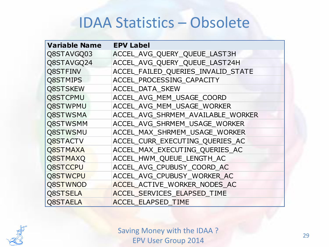#### IDAA Statistics – Obsolete

| <b>Variable Name</b> | <b>EPV Label</b>                   |
|----------------------|------------------------------------|
| Q8STAVGQ03           | ACCEL AVG QUERY QUEUE LAST3H       |
| Q8STAVGQ24           | ACCEL AVG QUERY QUEUE LAST24H      |
| Q8STFINV             | ACCEL FAILED QUERIES INVALID STATE |
| Q8STMIPS             | ACCEL PROCESSING CAPACITY          |
| Q8STSKEW             | <b>ACCEL DATA SKEW</b>             |
| <b>Q8STCPMU</b>      | ACCEL AVG MEM USAGE COORD          |
| Q8STWPMU             | ACCEL AVG MEM USAGE WORKER         |
| Q8STWSMA             | ACCEL AVG SHRMEM AVAILABLE WORKER  |
| Q8STWSMM             | ACCEL AVG SHRMEM USAGE WORKER      |
| <b>Q8STWSMU</b>      | ACCEL MAX SHRMEM USAGE WORKER      |
| <b>Q8STACTV</b>      | ACCEL CURR EXECUTING QUERIES AC    |
| Q8STMAXA             | ACCEL MAX EXECUTING QUERIES AC     |
| Q8STMAXQ             | ACCEL HWM QUEUE LENGTH AC          |
| Q8STCCPU             | ACCEL AVG_CPUBUSY_COORD AC         |
| Q8STWCPU             | ACCEL AVG CPUBUSY WORKER AC        |
| Q8STWNOD             | ACCEL_ACTIVE_WORKER_NODES_AC       |
| Q8STSELA             | ACCEL SERVICES ELAPSED TIME        |
| Q8STAELA             | <b>ACCEL ELAPSED TIME</b>          |

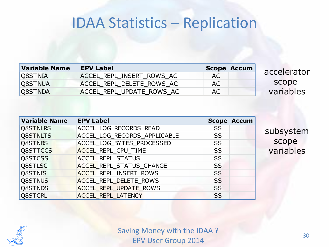#### IDAA Statistics – Replication

| <b>Variable Name</b> | <b>EPV Label</b>          |     | <b>Scope Accum</b> |
|----------------------|---------------------------|-----|--------------------|
| Q8STNIA              | ACCEL REPL INSERT ROWS AC | AC. |                    |
| Q8STNUA              | ACCEL REPL DELETE ROWS AC | AC. |                    |
| Q8STNDA              | ACCEL REPL UPDATE ROWS AC | AC. |                    |

accelerator scope variables

| <b>Variable Name</b> | <b>EPV Label</b>                |           | <b>Scope Accum</b> |
|----------------------|---------------------------------|-----------|--------------------|
| Q8STNLRS             | ACCEL LOG RECORDS READ          | <b>SS</b> |                    |
| Q8STNLTS             | ACCEL LOG RECORDS APPLICABLE    | <b>SS</b> |                    |
| Q8STNBS              | ACCEL_LOG_BYTES_PROCESSED       | <b>SS</b> |                    |
| Q8STTCCS             | <b>ACCEL REPL CPU TIME</b>      | <b>SS</b> |                    |
| Q8STCSS              | <b>ACCEL REPL STATUS</b>        | <b>SS</b> |                    |
| Q8STLSC              | <b>ACCEL REPL STATUS CHANGE</b> | <b>SS</b> |                    |
| Q8STNIS              | <b>ACCEL REPL INSERT ROWS</b>   | <b>SS</b> |                    |
| Q8STNUS              | <b>ACCEL REPL DELETE ROWS</b>   | <b>SS</b> |                    |
| Q8STNDS              | <b>ACCEL REPL UPDATE ROWS</b>   | <b>SS</b> |                    |
| Q8STCRL              | <b>ACCEL REPL LATENCY</b>       | SS        |                    |

subsystem scope variables

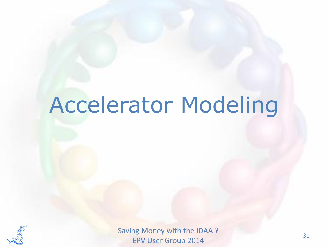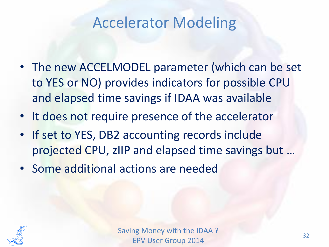- The new ACCELMODEL parameter (which can be set to YES or NO) provides indicators for possible CPU and elapsed time savings if IDAA was available
- It does not require presence of the accelerator
- If set to YES, DB2 accounting records include projected CPU, zIIP and elapsed time savings but …
- Some additional actions are needed

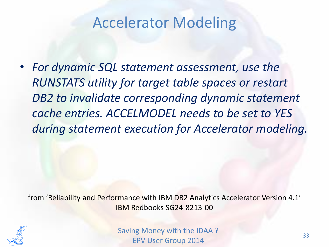• *For dynamic SQL statement assessment, use the RUNSTATS utility for target table spaces or restart DB2 to invalidate corresponding dynamic statement cache entries. ACCELMODEL needs to be set to YES during statement execution for Accelerator modeling.*

from 'Reliability and Performance with IBM DB2 Analytics Accelerator Version 4.1' IBM Redbooks SG24-8213-00

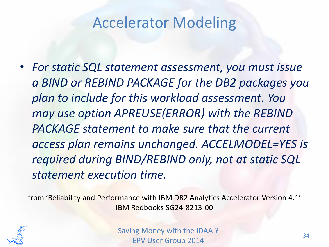• *For static SQL statement assessment, you must issue a BIND or REBIND PACKAGE for the DB2 packages you plan to include for this workload assessment. You may use option APREUSE(ERROR) with the REBIND PACKAGE statement to make sure that the current access plan remains unchanged. ACCELMODEL=YES is required during BIND/REBIND only, not at static SQL statement execution time.*

from 'Reliability and Performance with IBM DB2 Analytics Accelerator Version 4.1' IBM Redbooks SG24-8213-00

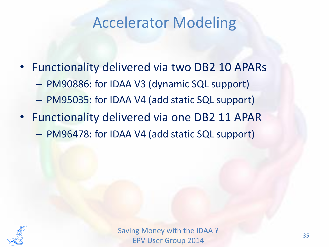- Functionality delivered via two DB2 10 APARs
	- PM90886: for IDAA V3 (dynamic SQL support)
	- PM95035: for IDAA V4 (add static SQL support)
- Functionality delivered via one DB2 11 APAR – PM96478: for IDAA V4 (add static SQL support)

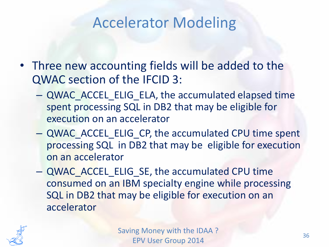- Three new accounting fields will be added to the QWAC section of the IFCID 3:
	- QWAC\_ACCEL\_ELIG\_ELA, the accumulated elapsed time spent processing SQL in DB2 that may be eligible for execution on an accelerator
	- QWAC\_ACCEL\_ELIG\_CP, the accumulated CPU time spent processing SQL in DB2 that may be eligible for execution on an accelerator
	- QWAC\_ACCEL\_ELIG\_SE, the accumulated CPU time consumed on an IBM specialty engine while processing SQL in DB2 that may be eligible for execution on an accelerator

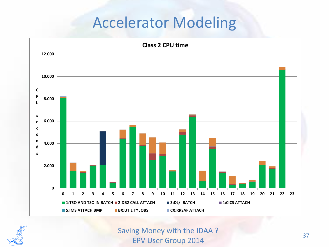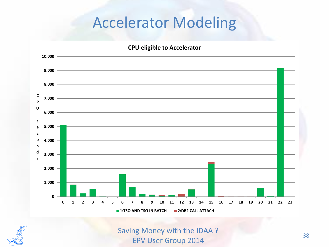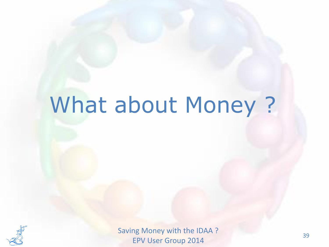# What about Money ?

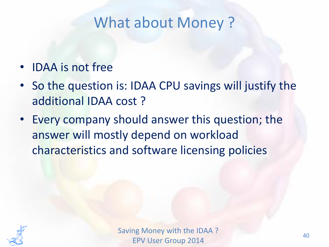### What about Money ?

- IDAA is not free
- So the question is: IDAA CPU savings will justify the additional IDAA cost ?
- Every company should answer this question; the answer will mostly depend on workload characteristics and software licensing policies

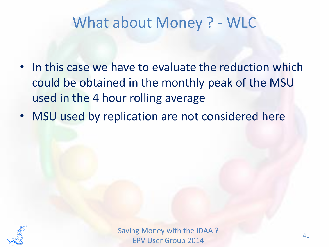- In this case we have to evaluate the reduction which could be obtained in the monthly peak of the MSU used in the 4 hour rolling average
- MSU used by replication are not considered here

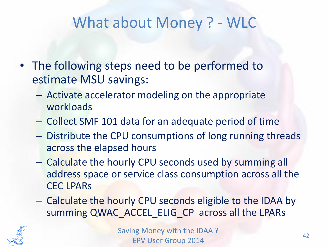- The following steps need to be performed to estimate MSU savings:
	- Activate accelerator modeling on the appropriate workloads
	- Collect SMF 101 data for an adequate period of time
	- Distribute the CPU consumptions of long running threads across the elapsed hours
	- Calculate the hourly CPU seconds used by summing all address space or service class consumption across all the CEC LPARs
	- Calculate the hourly CPU seconds eligible to the IDAA by summing QWAC\_ACCEL\_ELIG\_CP\_across all the LPARs

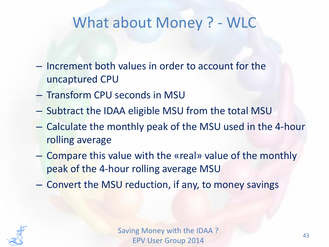- Increment both values in order to account for the uncaptured CPU
- Transform CPU seconds in MSU
- Subtract the IDAA eligible MSU from the total MSU
- Calculate the monthly peak of the MSU used in the 4-hour rolling average
- Compare this value with the «real» value of the monthly peak of the 4-hour rolling average MSU
- Convert the MSU reduction, if any, to money savings

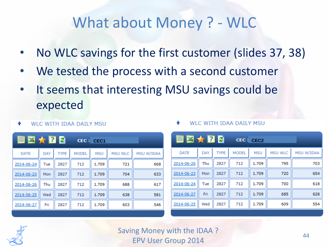- No WLC savings for the first customer (slides 37, 38)
- We tested the process with a second customer
- It seems that interesting MSU savings could be expected

|            | ▤▨★Ω₽       |              |            |                |                   |
|------------|-------------|--------------|------------|----------------|-------------------|
| <b>DAY</b> | <b>TYPE</b> | <b>MODEL</b> | <b>MSU</b> | <b>MSU WLC</b> | <b>MSU W/IDAA</b> |
| Tue        | 2827        | 712          | 1.709      | 721            | 668               |
| Mon        | 2827        | 712          | 1.709      | 704            | 633               |
| Thu        | 2827        | 712          | 1.709      | 688            | 617               |
| Wed        | 2827        | 712          | 1.709      | 638            | 581               |
| Fri        | 2827        | 712          | 1.709      | 603            | 546               |
|            |             |              |            | CEC: CEC1      |                   |

#### **WLC WITH IDAA DAILY MSU**

| CEC1       |                |                   | ▤▧★Ω₽       |     |             |              | CEC: CEC2  |                |            |
|------------|----------------|-------------------|-------------|-----|-------------|--------------|------------|----------------|------------|
| <b>MSU</b> | <b>MSU WLC</b> | <b>MSU W/IDAA</b> | <b>DATE</b> | DAY | <b>TYPE</b> | <b>MODEL</b> | <b>MSU</b> | <b>MSU WLC</b> | MSU W/IDAA |
| 1.709      | 721            | 668               | 2014-06-26  | Thu | 2827        | 712          | 1.709      | 795            | 703        |
| 1.709      | 704            | 633               | 2014-06-23  | Mon | 2827        | 712          | 1.709      | 720            | 654        |
| 1.709      | 688            | 617               | 2014-06-24  | Tue | 2827        | 712          | 1.709      | 700            | 618        |
| 1.709      | 638            | 581               | 2014-06-27  | Fri | 2827        | 712          | 1.709      | 685            | 628        |
| 1.709      | 603            | 546               | 2014-06-25  | Wed | 2827        | 712          | 1.709      | 609            | 554        |
|            |                |                   |             |     |             |              |            |                |            |

#### **WLC WITH IDAA DAILY MSU**

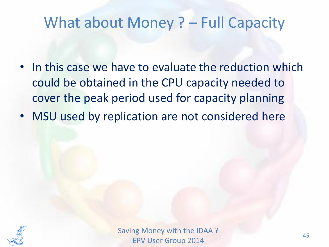#### What about Money ? – Full Capacity

- In this case we have to evaluate the reduction which could be obtained in the CPU capacity needed to cover the peak period used for capacity planning
- MSU used by replication are not considered here

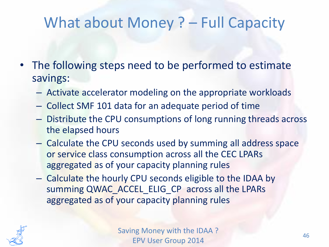### What about Money ? – Full Capacity

- The following steps need to be performed to estimate savings:
	- Activate accelerator modeling on the appropriate workloads
	- Collect SMF 101 data for an adequate period of time
	- Distribute the CPU consumptions of long running threads across the elapsed hours
	- Calculate the CPU seconds used by summing all address space or service class consumption across all the CEC LPARs aggregated as of your capacity planning rules
	- Calculate the hourly CPU seconds eligible to the IDAA by summing QWAC\_ACCEL\_ELIG\_CP across all the LPARs aggregated as of your capacity planning rules

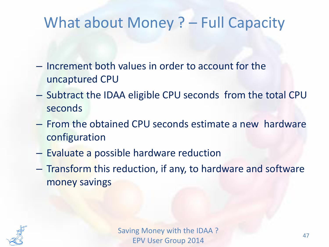#### What about Money ? – Full Capacity

- Increment both values in order to account for the uncaptured CPU
- Subtract the IDAA eligible CPU seconds from the total CPU seconds
- From the obtained CPU seconds estimate a new hardware configuration
- Evaluate a possible hardware reduction
- Transform this reduction, if any, to hardware and software money savings

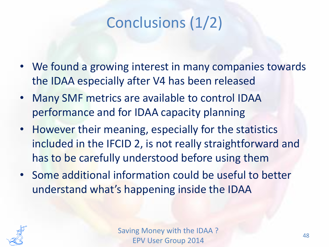## Conclusions (1/2)

- We found a growing interest in many companies towards the IDAA especially after V4 has been released
- Many SMF metrics are available to control IDAA performance and for IDAA capacity planning
- However their meaning, especially for the statistics included in the IFCID 2, is not really straightforward and has to be carefully understood before using them
- Some additional information could be useful to better understand what's happening inside the IDAA

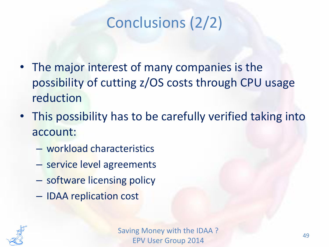## Conclusions (2/2)

- The major interest of many companies is the possibility of cutting z/OS costs through CPU usage reduction
- This possibility has to be carefully verified taking into account:
	- workload characteristics
	- service level agreements
	- software licensing policy
	- IDAA replication cost